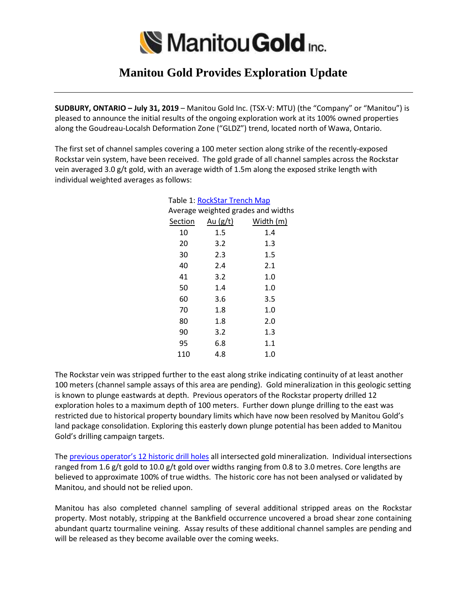

## **Manitou Gold Provides Exploration Update**

**SUDBURY, ONTARIO – July 31, 2019** – Manitou Gold Inc. (TSX-V: MTU) (the "Company" or "Manitou") is pleased to announce the initial results of the ongoing exploration work at its 100% owned properties along the Goudreau-Localsh Deformation Zone ("GLDZ") trend, located north of Wawa, Ontario.

The first set of channel samples covering a 100 meter section along strike of the recently-exposed Rockstar vein system, have been received. The gold grade of all channel samples across the Rockstar vein averaged 3.0 g/t gold, with an average width of 1.5m along the exposed strike length with individual weighted averages as follows:

| Table 1: <u>RockStar Trench Map</u> |                   |           |
|-------------------------------------|-------------------|-----------|
| Average weighted grades and widths  |                   |           |
|                                     | Section $Au(g/t)$ | Width (m) |
| 10                                  | 1.5               | 1.4       |
| 20                                  | 3.2               | 1.3       |
| 30                                  | 2.3               | 1.5       |
| 40                                  | 2.4               | 2.1       |
| 41                                  | 3.2               | 1.0       |
| 50                                  | 1.4               | 1.0       |
| 60                                  | 3.6               | 3.5       |
| 70                                  | 1.8               | 1.0       |
| 80                                  | 1.8               | 2.0       |
| 90                                  | 3.2               | 1.3       |
| 95                                  | 6.8               | 1.1       |
| 110                                 | 4.8               | 1.0       |
|                                     |                   |           |

The Rockstar vein was stripped further to the east along strike indicating continuity of at least another 100 meters (channel sample assays of this area are pending). Gold mineralization in this geologic setting is known to plunge eastwards at depth. Previous operators of the Rockstar property drilled 12 exploration holes to a maximum depth of 100 meters. Further down plunge drilling to the east was restricted due to historical property boundary limits which have now been resolved by Manitou Gold's land package consolidation. Exploring this easterly down plunge potential has been added to Manitou Gold's drilling campaign targets.

The [previous operator](http://manitougold.com/_resources/maps/Rockstar-Channel-Samples-and-Historical-DDH_v3.pdf)'s 12 historic drill holes all intersected gold mineralization. Individual intersections ranged from 1.6 g/t gold to 10.0 g/t gold over widths ranging from 0.8 to 3.0 metres. Core lengths are believed to approximate 100% of true widths. The historic core has not been analysed or validated by Manitou, and should not be relied upon.

Manitou has also completed channel sampling of several additional stripped areas on the Rockstar property. Most notably, stripping at the Bankfield occurrence uncovered a broad shear zone containing abundant quartz tourmaline veining. Assay results of these additional channel samples are pending and will be released as they become available over the coming weeks.